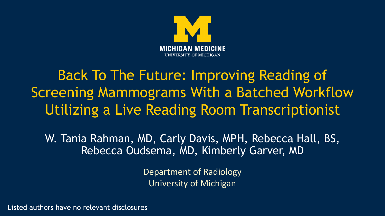

# Back To The Future: Improving Reading of Screening Mammograms With a Batched Workflow Utilizing a Live Reading Room Transcriptionist

W. Tania Rahman, MD, Carly Davis, MPH, Rebecca Hall, BS, Rebecca Oudsema, MD, Kimberly Garver, MD

> Department of Radiology University of Michigan

Listed authors have no relevant disclosures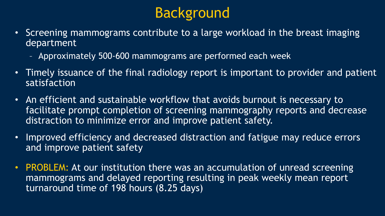## Background

- Screening mammograms contribute to a large workload in the breast imaging department
	- Approximately 500-600 mammograms are performed each week
- Timely issuance of the final radiology report is important to provider and patient satisfaction
- An efficient and sustainable workflow that avoids burnout is necessary to facilitate prompt completion of screening mammography reports and decrease distraction to minimize error and improve patient safety.
- Improved efficiency and decreased distraction and fatigue may reduce errors and improve patient safety
- PROBLEM: At our institution there was an accumulation of unread screening mammograms and delayed reporting resulting in peak weekly mean report turnaround time of 198 hours (8.25 days)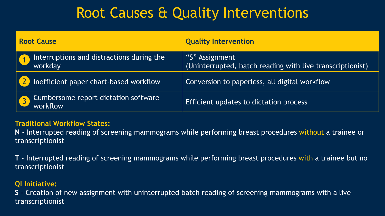## Root Causes & Quality Interventions

| <b>Root Cause</b>                                    | <b>Quality Intervention</b>                                                 |  |  |  |  |  |  |  |
|------------------------------------------------------|-----------------------------------------------------------------------------|--|--|--|--|--|--|--|
| Interruptions and distractions during the<br>workday | "S" Assignment<br>(Uninterrupted, batch reading with live transcriptionist) |  |  |  |  |  |  |  |
| Inefficient paper chart-based workflow               | Conversion to paperless, all digital workflow                               |  |  |  |  |  |  |  |
| Cumbersome report dictation software<br>workflow     | Efficient updates to dictation process                                      |  |  |  |  |  |  |  |

#### **Traditional Workflow States:**

**N** - Interrupted reading of screening mammograms while performing breast procedures without a trainee or transcriptionist

**T** - Interrupted reading of screening mammograms while performing breast procedures with a trainee but no transcriptionist

#### **QI Initiative:**

**S** – Creation of new assignment with uninterrupted batch reading of screening mammograms with a live transcriptionist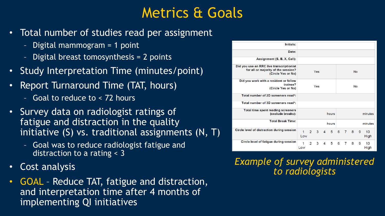### Metrics & Goals

- Total number of studies read per assignment
	- Digital mammogram = 1 point
	- Digital breast tomosynthesis = 2 points
- Study Interpretation Time (minutes/point)
- Report Turnaround Time (TAT, hours)
	- Goal to reduce to < 72 hours
- Survey data on radiologist ratings of fatigue and distraction in the quality initiative (S) vs. traditional assignments (N, T)
	- Goal was to reduce radiologist fatigue and distraction to a rating < 3
- Cost analysis
- GOAL Reduce TAT, fatigue and distraction, and interpretation time after 4 months of implementing QI initiatives

| Initials:                                                                                             |          |                |     |   |       |           |                |    |   |                   |
|-------------------------------------------------------------------------------------------------------|----------|----------------|-----|---|-------|-----------|----------------|----|---|-------------------|
| Date:                                                                                                 |          |                |     |   |       |           |                |    |   |                   |
| Assignment (S, B, X, Call):                                                                           |          |                |     |   |       |           |                |    |   |                   |
| Did you use an RRC live transcriptionist<br>for all or majority of the session?<br>(Circle Yes or No) | Yes      |                |     |   |       | <b>No</b> |                |    |   |                   |
| Did you work with a resident or fellow<br>trainee?<br>(Circle Yes or No)                              |          |                | Yes |   |       |           |                | No |   |                   |
| Total number of 2D screeners read*:                                                                   |          |                |     |   |       |           |                |    |   |                   |
| Total number of 3D screeners read*:                                                                   |          |                |     |   |       |           |                |    |   |                   |
| <b>Total time spent reading screeners</b><br>(exclude breaks):                                        |          |                |     |   | hours |           |                |    |   | minutes           |
| <b>Total Break Time:</b>                                                                              |          |                |     |   | hours |           |                |    |   | minutes           |
| Circle level of distraction during session                                                            | 1<br>Low | $2^{\circ}$    | 3   | 4 | 5     | 6         | $\overline{7}$ | 8  | 9 | 10<br>High        |
| Circle level of fatigue during session                                                                | 1<br>Low | $\overline{2}$ | 3   | 4 | 5     | 6         | 7              | 8  | 9 | 10<br><b>High</b> |

*Example of survey administered to radiologists*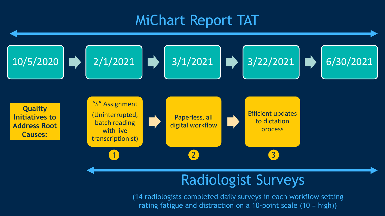#### MiChart Report TAT



## Radiologist Surveys

(14 radiologists completed daily surveys in each workflow setting rating fatigue and distraction on a 10-point scale (10 = high))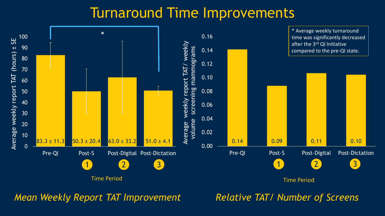#### Turnaround Time Improvements



*Mean Weekly Report TAT Improvement Relative TAT/ Number of Screens*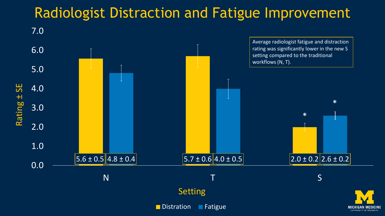## Radiologist Distraction and Fatigue Improvement

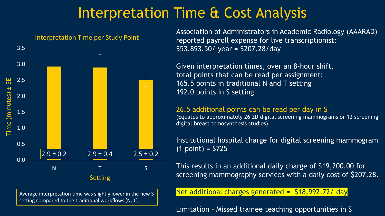### Interpretation Time & Cost Analysis



Average interpretation time was slightly lower in the new S setting compared to the traditional workflows (N, T).

Association of Administrators in Academic Radiology (AAARAD) reported payroll expense for live transcriptionist: \$53,893.50/ year = \$207.28/day

Given interpretation times, over an 8-hour shift, total points that can be read per assignment: 165.5 points in traditional N and T setting 192.0 points in S setting

#### 26.5 additional points can be read per day in S

(Equates to approximately 26 2D digital screening mammograms or 13 screening digital breast tomosynthesis studies)

Institutional hospital charge for digital screening mammogram  $(1 \text{ point}) = $725$ 

This results in an additional daily charge of \$19,200.00 for screening mammography services with a daily cost of \$207.28.

Net additional charges generated = \$18,992.72/ day

Limitation – Missed trainee teaching opportunities in S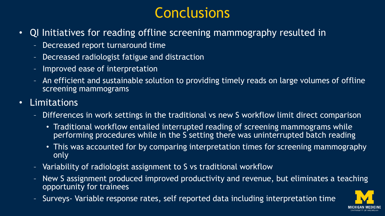## **Conclusions**

- QI Initiatives for reading offline screening mammography resulted in
	- Decreased report turnaround time
	- Decreased radiologist fatigue and distraction
	- Improved ease of interpretation
	- An efficient and sustainable solution to providing timely reads on large volumes of offline screening mammograms
- Limitations
	- Differences in work settings in the traditional vs new S workflow limit direct comparison
		- Traditional workflow entailed interrupted reading of screening mammograms while performing procedures while in the S setting there was uninterrupted batch reading
		- This was accounted for by comparing interpretation times for screening mammography only
	- Variability of radiologist assignment to S vs traditional workflow
	- New S assignment produced improved productivity and revenue, but eliminates a teaching opportunity for trainees
	- Surveys- Variable response rates, self reported data including interpretation time